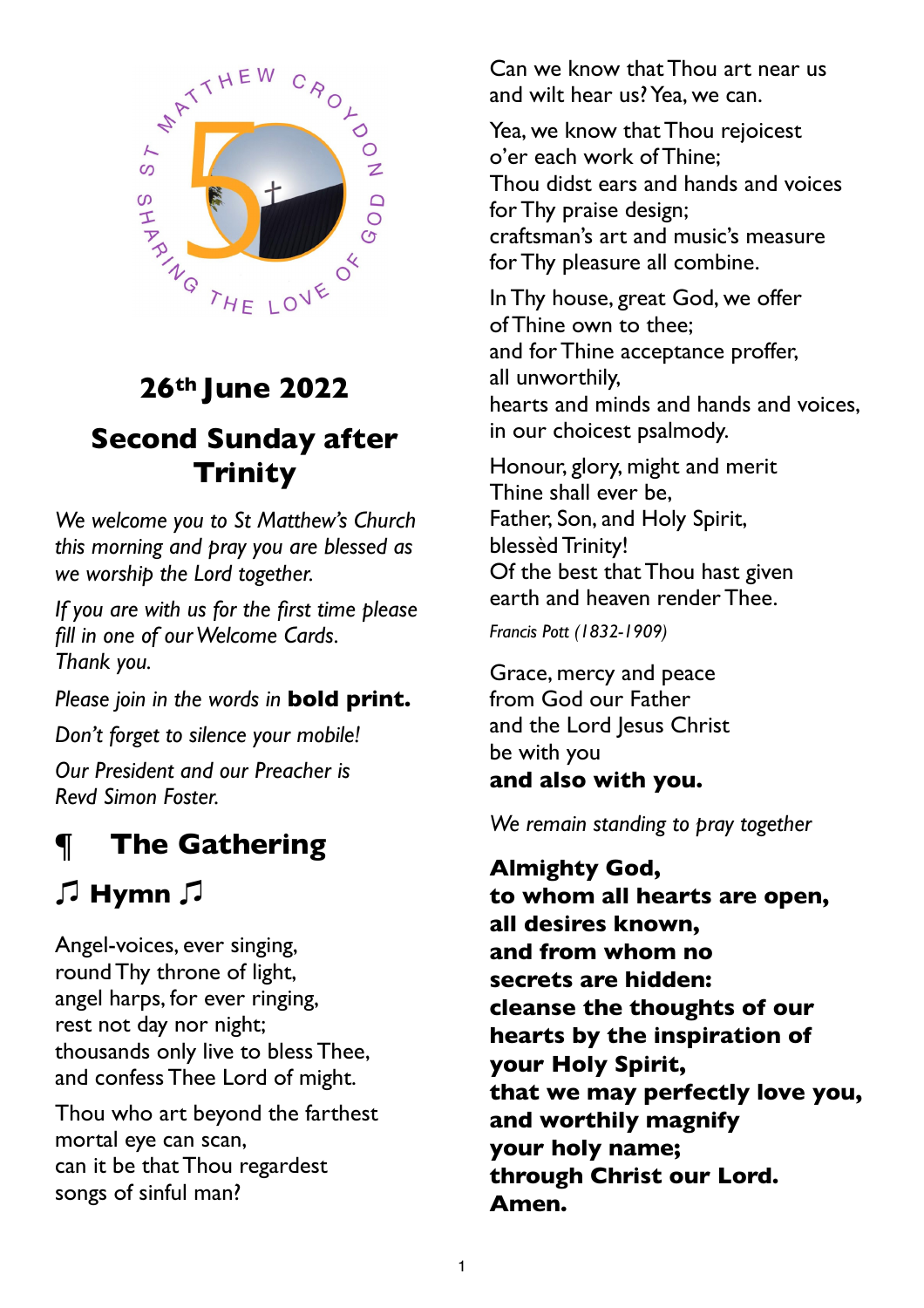

## **26th June 2022**

## **Second Sunday after Trinity**

*We welcome you to St Matthew's Church this morning and pray you are blessed as we worship the Lord together.*

*If you are with us for the first time please fill in one of our Welcome Cards. Thank you.* 

*Please join in the words in* **bold print.** 

*Don't forget to silence your mobile!*

*Our President and our Preacher is Revd Simon Foster.*

# **¶ The Gathering**

# 㽈 **Hymn** 㽈

Angel-voices, ever singing, round Thy throne of light, angel harps, for ever ringing, rest not day nor night; thousands only live to bless Thee, and confess Thee Lord of might.

Thou who art beyond the farthest mortal eye can scan, can it be that Thou regardest songs of sinful man?

Can we know that Thou art near us and wilt hear us? Yea, we can.

Yea, we know that Thou rejoicest o'er each work of Thine; Thou didst ears and hands and voices for Thy praise design; craftsman's art and music's measure for Thy pleasure all combine.

In Thy house, great God, we offer of Thine own to thee; and for Thine acceptance proffer, all unworthily, hearts and minds and hands and voices, in our choicest psalmody.

Honour, glory, might and merit Thine shall ever be, Father, Son, and Holy Spirit, blessèd Trinity! Of the best that Thou hast given earth and heaven render Thee.

*Francis Pott (1832-1909)*

Grace, mercy and peace from God our Father and the Lord Jesus Christ be with you **and also with you.**

*We remain standing to pray together*

**Almighty God, to whom all hearts are open, all desires known, and from whom no secrets are hidden: cleanse the thoughts of our hearts by the inspiration of your Holy Spirit, that we may perfectly love you, and worthily magnify your holy name; through Christ our Lord. Amen.**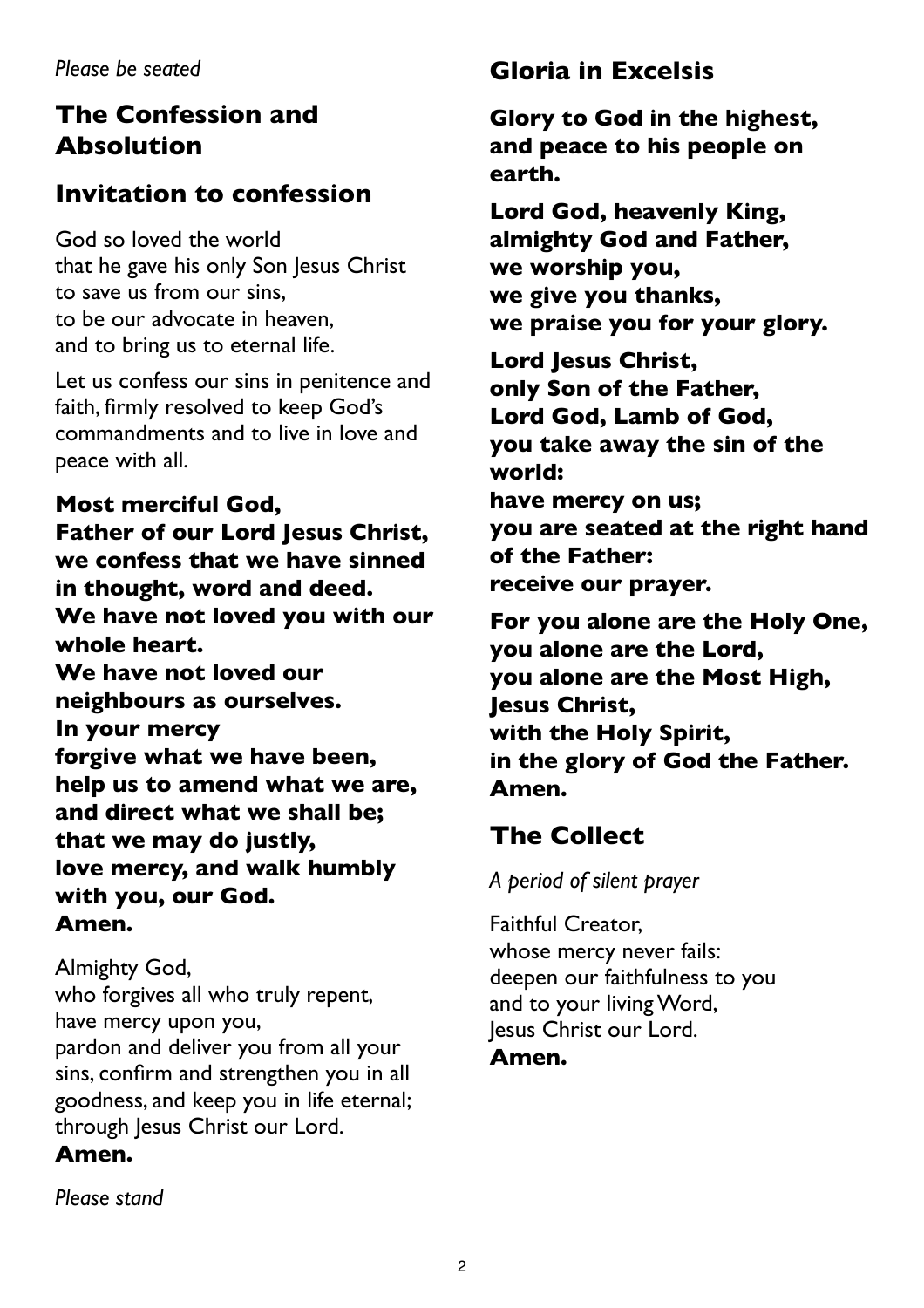*Please be seated*

### **The Confession and Absolution**

### **Invitation to confession**

God so loved the world that he gave his only Son Jesus Christ to save us from our sins, to be our advocate in heaven, and to bring us to eternal life.

Let us confess our sins in penitence and faith, firmly resolved to keep God's commandments and to live in love and peace with all.

#### **Most merciful God,**

**Father of our Lord Jesus Christ, we confess that we have sinned in thought, word and deed. We have not loved you with our whole heart. We have not loved our neighbours as ourselves. In your mercy forgive what we have been, help us to amend what we are, and direct what we shall be; that we may do justly, love mercy, and walk humbly with you, our God. Amen.**

Almighty God, who forgives all who truly repent, have mercy upon you, pardon and deliver you from all your sins, confirm and strengthen you in all goodness, and keep you in life eternal; through Jesus Christ our Lord.

#### **Amen.**

*Please stand*

### **Gloria in Excelsis**

**Glory to God in the highest, and peace to his people on earth.**

**Lord God, heavenly King, almighty God and Father, we worship you, we give you thanks, we praise you for your glory.**

**Lord Jesus Christ, only Son of the Father, Lord God, Lamb of God, you take away the sin of the world: have mercy on us; you are seated at the right hand of the Father: receive our prayer.**

**For you alone are the Holy One, you alone are the Lord, you alone are the Most High, Jesus Christ, with the Holy Spirit, in the glory of God the Father. Amen.**

### **The Collect**

*A period of silent prayer*

Faithful Creator, whose mercy never fails: deepen our faithfulness to you and to your living Word, Jesus Christ our Lord.

#### **Amen.**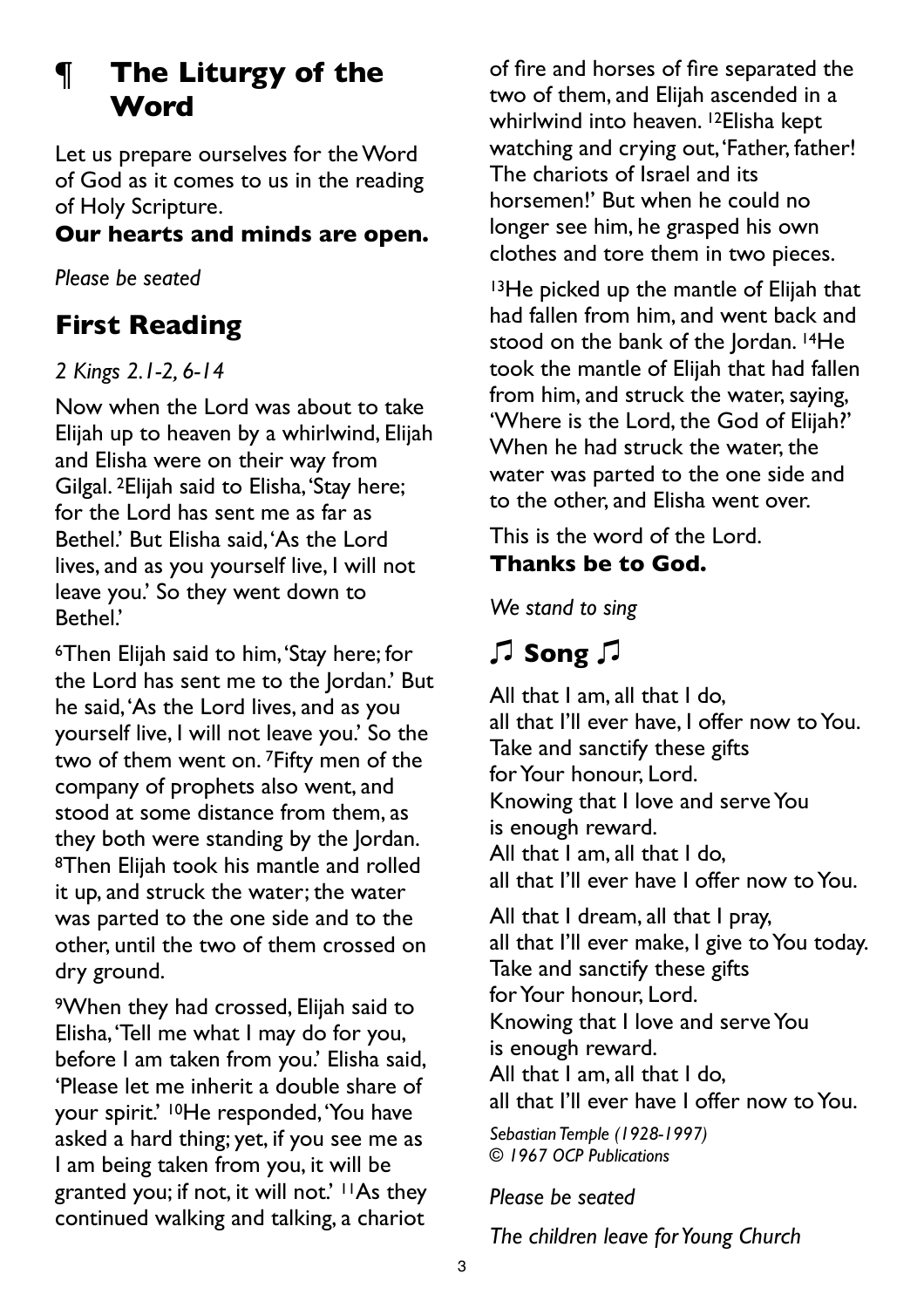## **¶ The Liturgy of the Word**

Let us prepare ourselves for the Word of God as it comes to us in the reading of Holy Scripture.

### **Our hearts and minds are open.**

*Please be seated*

# **First Reading**

### *2 Kings 2.1-2, 6-14*

Now when the Lord was about to take Elijah up to heaven by a whirlwind, Elijah and Elisha were on their way from Gilgal. 2Elijah said to Elisha, 'Stay here; for the Lord has sent me as far as Bethel.' But Elisha said, 'As the Lord lives, and as you yourself live, I will not leave you.' So they went down to Bethel.'

6Then Elijah said to him, 'Stay here; for the Lord has sent me to the Jordan.' But he said, 'As the Lord lives, and as you yourself live, I will not leave you.' So the two of them went on. <sup>7</sup>Fifty men of the company of prophets also went, and stood at some distance from them, as they both were standing by the Jordan. 8Then Elijah took his mantle and rolled it up, and struck the water; the water was parted to the one side and to the other, until the two of them crossed on dry ground.

9When they had crossed, Elijah said to Elisha, 'Tell me what I may do for you, before I am taken from you.' Elisha said, 'Please let me inherit a double share of your spirit.' 10He responded, 'You have asked a hard thing; yet, if you see me as I am being taken from you, it will be granted you; if not, it will not.' 11As they continued walking and talking, a chariot

of fire and horses of fire separated the two of them, and Elijah ascended in a whirlwind into heaven. 12Elisha kept watching and crying out, 'Father, father! The chariots of Israel and its horsemen!' But when he could no longer see him, he grasped his own clothes and tore them in two pieces.

13He picked up the mantle of Elijah that had fallen from him, and went back and stood on the bank of the Jordan. <sup>14</sup>He took the mantle of Elijah that had fallen from him, and struck the water, saying, 'Where is the Lord, the God of Elijah?' When he had struck the water, the water was parted to the one side and to the other, and Elisha went over.

This is the word of the Lord.

## **Thanks be to God.**

*We stand to sing*

# 㽈 **Song** 㽈

All that I am, all that I do, all that I'll ever have, I offer now to You. Take and sanctify these gifts for Your honour, Lord. Knowing that I love and serve You is enough reward. All that I am, all that I do, all that I'll ever have I offer now to You.

All that I dream, all that I pray, all that I'll ever make, I give to You today. Take and sanctify these gifts for Your honour, Lord. Knowing that I love and serve You is enough reward. All that I am, all that I do, all that I'll ever have I offer now to You.

*Sebastian Temple (1928-1997) © 1967 OCP Publications*

*Please be seated*

*The children leave for Young Church*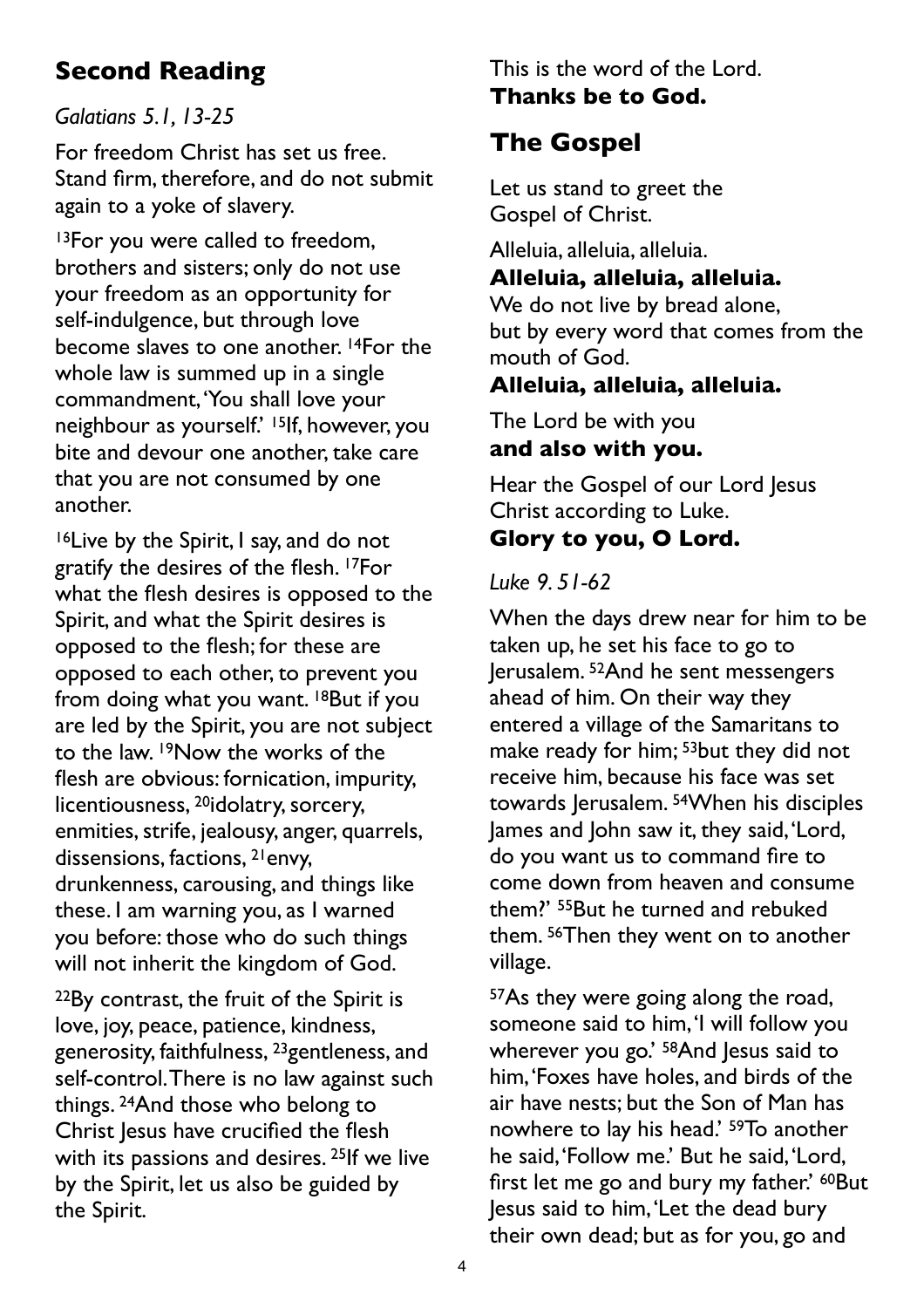## **Second Reading**

### *Galatians 5.1, 13-25*

For freedom Christ has set us free. Stand firm, therefore, and do not submit again to a yoke of slavery.

13For you were called to freedom, brothers and sisters; only do not use your freedom as an opportunity for self-indulgence, but through love become slaves to one another. 14For the whole law is summed up in a single commandment, 'You shall love your neighbour as yourself.' 15If, however, you bite and devour one another, take care that you are not consumed by one another.

16Live by the Spirit, I say, and do not gratify the desires of the flesh. 17For what the flesh desires is opposed to the Spirit, and what the Spirit desires is opposed to the flesh; for these are opposed to each other, to prevent you from doing what you want. <sup>18</sup>But if you are led by the Spirit, you are not subject to the law. 19Now the works of the flesh are obvious: fornication, impurity, licentiousness, 20idolatry, sorcery, enmities, strife, jealousy, anger, quarrels, dissensions, factions, 21envy, drunkenness, carousing, and things like these. I am warning you, as I warned you before: those who do such things will not inherit the kingdom of God.

22By contrast, the fruit of the Spirit is love, joy, peace, patience, kindness, generosity, faithfulness, 23gentleness, and self-control. There is no law against such things. 24And those who belong to Christ Jesus have crucified the flesh with its passions and desires. <sup>25</sup>If we live by the Spirit, let us also be guided by the Spirit.

This is the word of the Lord. **Thanks be to God.**

## **The Gospel**

Let us stand to greet the Gospel of Christ.

Alleluia, alleluia, alleluia.

### **Alleluia, alleluia, alleluia.**

We do not live by bread alone, but by every word that comes from the mouth of God.

#### **Alleluia, alleluia, alleluia.**

The Lord be with you **and also with you.**

Hear the Gospel of our Lord Jesus Christ according to Luke.

### **Glory to you, O Lord.**

### *Luke 9. 51-62*

When the days drew near for him to be taken up, he set his face to go to Jerusalem. 52And he sent messengers ahead of him. On their way they entered a village of the Samaritans to make ready for him; 53but they did not receive him, because his face was set towards Jerusalem. 54When his disciples James and John saw it, they said, 'Lord, do you want us to command fire to come down from heaven and consume them?' 55But he turned and rebuked them. 56Then they went on to another village.

57As they were going along the road, someone said to him, 'I will follow you wherever you go.' <sup>58</sup>And Jesus said to him, 'Foxes have holes, and birds of the air have nests; but the Son of Man has nowhere to lay his head.' <sup>59</sup>To another he said, 'Follow me.' But he said, 'Lord, first let me go and bury my father.' <sup>60</sup>But Jesus said to him, 'Let the dead bury their own dead; but as for you, go and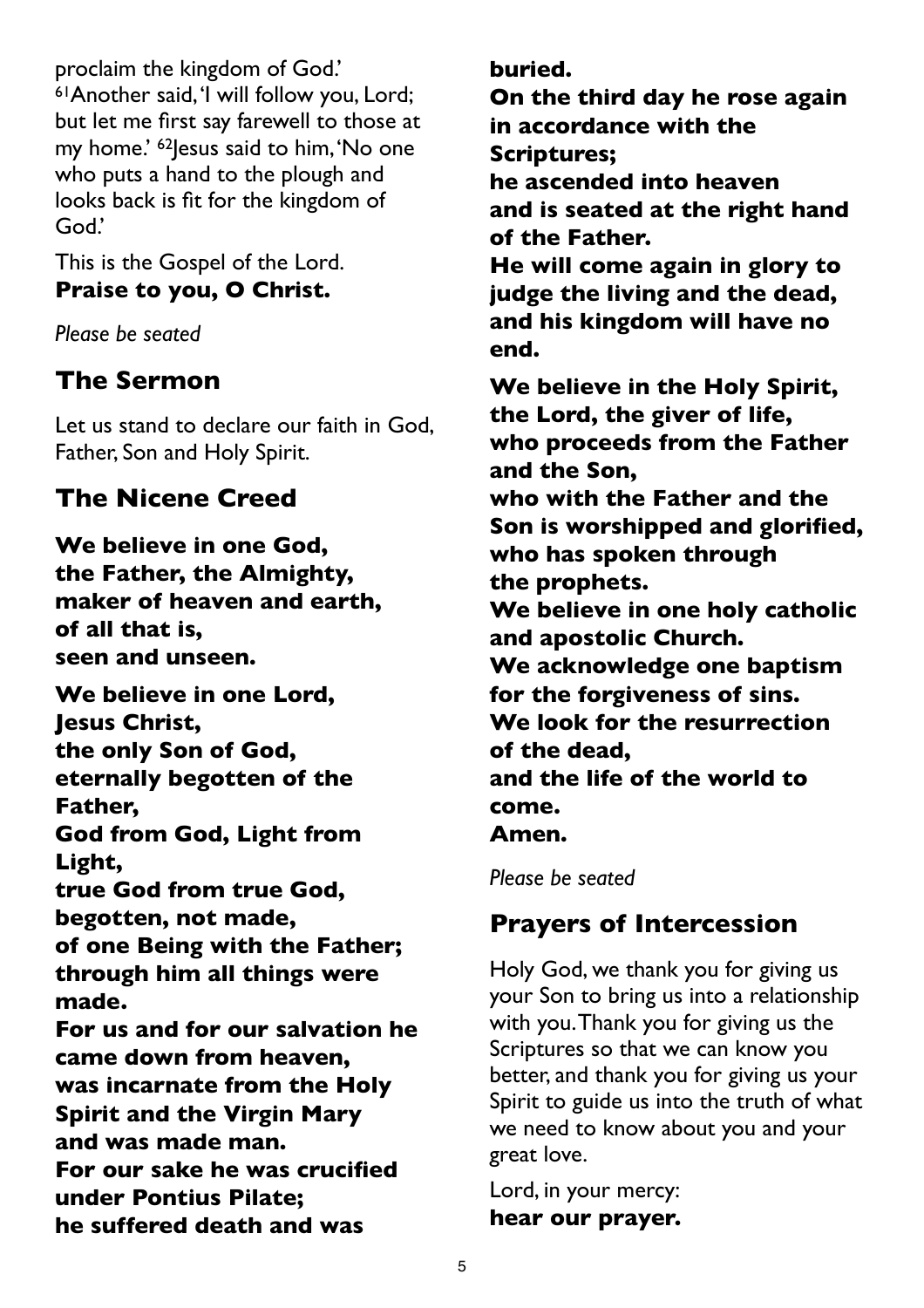proclaim the kingdom of God.' 61Another said, 'I will follow you, Lord; but let me first say farewell to those at my home.' <sup>62</sup> lesus said to him, 'No one who puts a hand to the plough and looks back is fit for the kingdom of God.'

This is the Gospel of the Lord. **Praise to you, O Christ.**

*Please be seated*

## **The Sermon**

Let us stand to declare our faith in God, Father, Son and Holy Spirit.

## **The Nicene Creed**

**We believe in one God, the Father, the Almighty, maker of heaven and earth, of all that is, seen and unseen.** 

**We believe in one Lord, Jesus Christ, the only Son of God, eternally begotten of the Father, God from God, Light from Light, true God from true God, begotten, not made, of one Being with the Father; through him all things were made. For us and for our salvation he came down from heaven, was incarnate from the Holy Spirit and the Virgin Mary and was made man. For our sake he was crucified under Pontius Pilate; he suffered death and was** 

**buried.**

**On the third day he rose again in accordance with the Scriptures;**

**he ascended into heaven and is seated at the right hand of the Father.**

**He will come again in glory to judge the living and the dead, and his kingdom will have no end.** 

**We believe in the Holy Spirit, the Lord, the giver of life, who proceeds from the Father and the Son,**

**who with the Father and the Son is worshipped and glorified, who has spoken through the prophets.**

**We believe in one holy catholic and apostolic Church.**

**We acknowledge one baptism for the forgiveness of sins.**

**We look for the resurrection of the dead,**

**and the life of the world to come.**

#### **Amen.**

*Please be seated*

### **Prayers of Intercession**

Holy God, we thank you for giving us your Son to bring us into a relationship with you. Thank you for giving us the Scriptures so that we can know you better, and thank you for giving us your Spirit to guide us into the truth of what we need to know about you and your great love.

Lord, in your mercy: **hear our prayer.**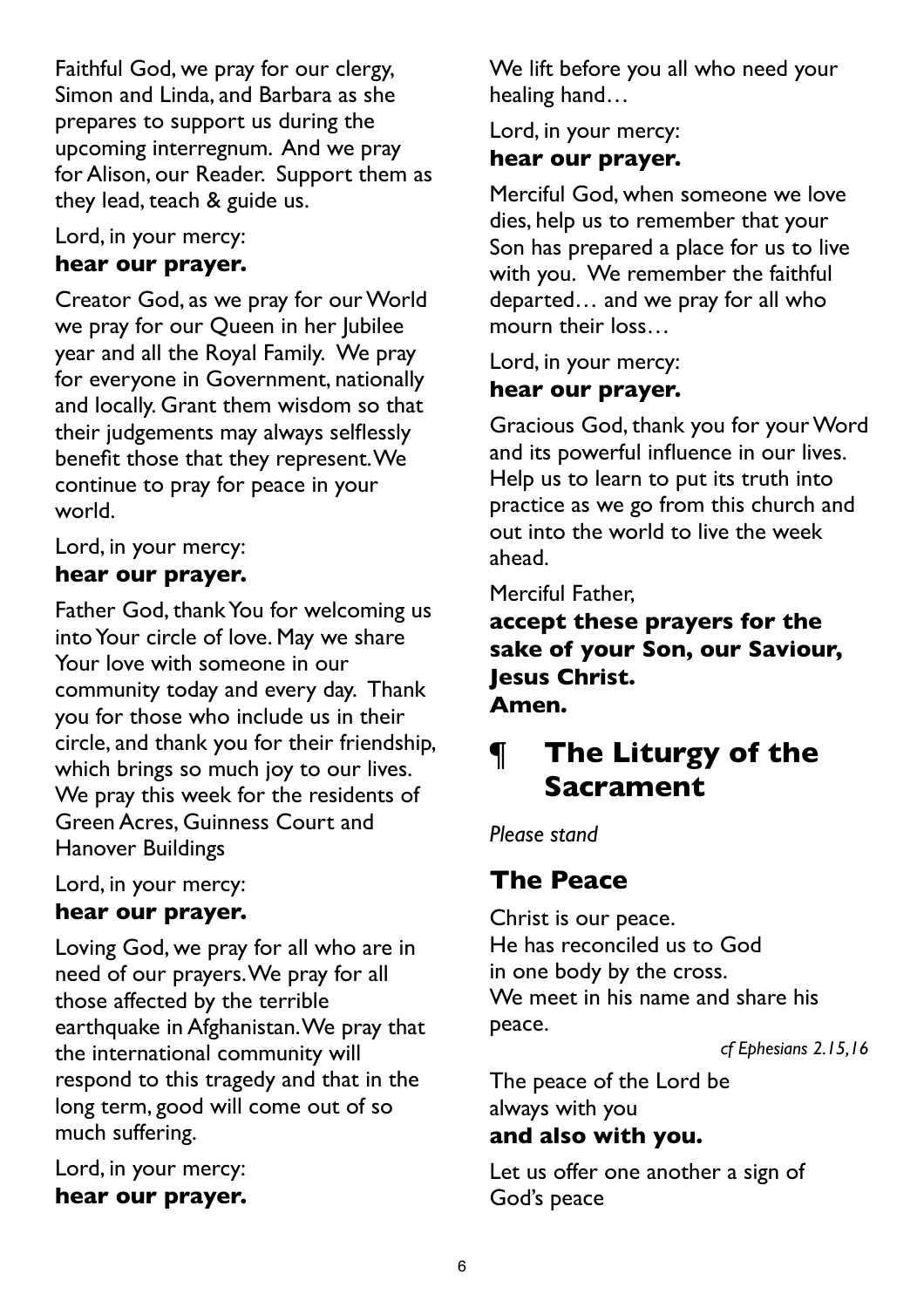Faithful God, we pray for our clergy, Simon and Linda, and Barbara as she prepares to support us during the upcoming interregnum. And we pray for Alison, our Reader. Support them as they lead, teach & guide us.

Lord, in your mercy:

#### **hear our prayer.**

Creator God, as we pray for our World we pray for our Queen in her Jubilee year and all the Royal Family. We pray for everyone in Government, nationally and locally. Grant them wisdom so that their judgements may always selflessly benefit those that they represent. We continue to pray for peace in your world.

Lord, in your mercy:

### **hear our prayer.**

Father God, thank You for welcoming us into Your circle of love. May we share Your love with someone in our community today and every day. Thank you for those who include us in their circle, and thank you for their friendship, which brings so much joy to our lives. We pray this week for the residents of Green Acres, Guinness Court and Hanover Buildings

Lord, in your mercy:

### **hear our prayer.**

Loving God, we pray for all who are in need of our prayers. We pray for all those affected by the terrible earthquake in Afghanistan. We pray that the international community will respond to this tragedy and that in the long term, good will come out of so much suffering.

Lord, in your mercy: **hear our prayer.** We lift before you all who need your healing hand…

Lord, in your mercy:

### **hear our prayer.**

Merciful God, when someone we love dies, help us to remember that your Son has prepared a place for us to live with you. We remember the faithful departed… and we pray for all who mourn their loss…

### Lord, in your mercy: **hear our prayer.**

Gracious God, thank you for your Word and its powerful influence in our lives. Help us to learn to put its truth into practice as we go from this church and out into the world to live the week ahead.

Merciful Father,

**accept these prayers for the sake of your Son, our Saviour, Jesus Christ. Amen.**

## **¶ The Liturgy of the Sacrament**

*Please stand*

## **The Peace**

Christ is our peace. He has reconciled us to God in one body by the cross. We meet in his name and share his peace.

*cf Ephesians 2.15,16*

The peace of the Lord be always with you

### **and also with you.**

Let us offer one another a sign of God's peace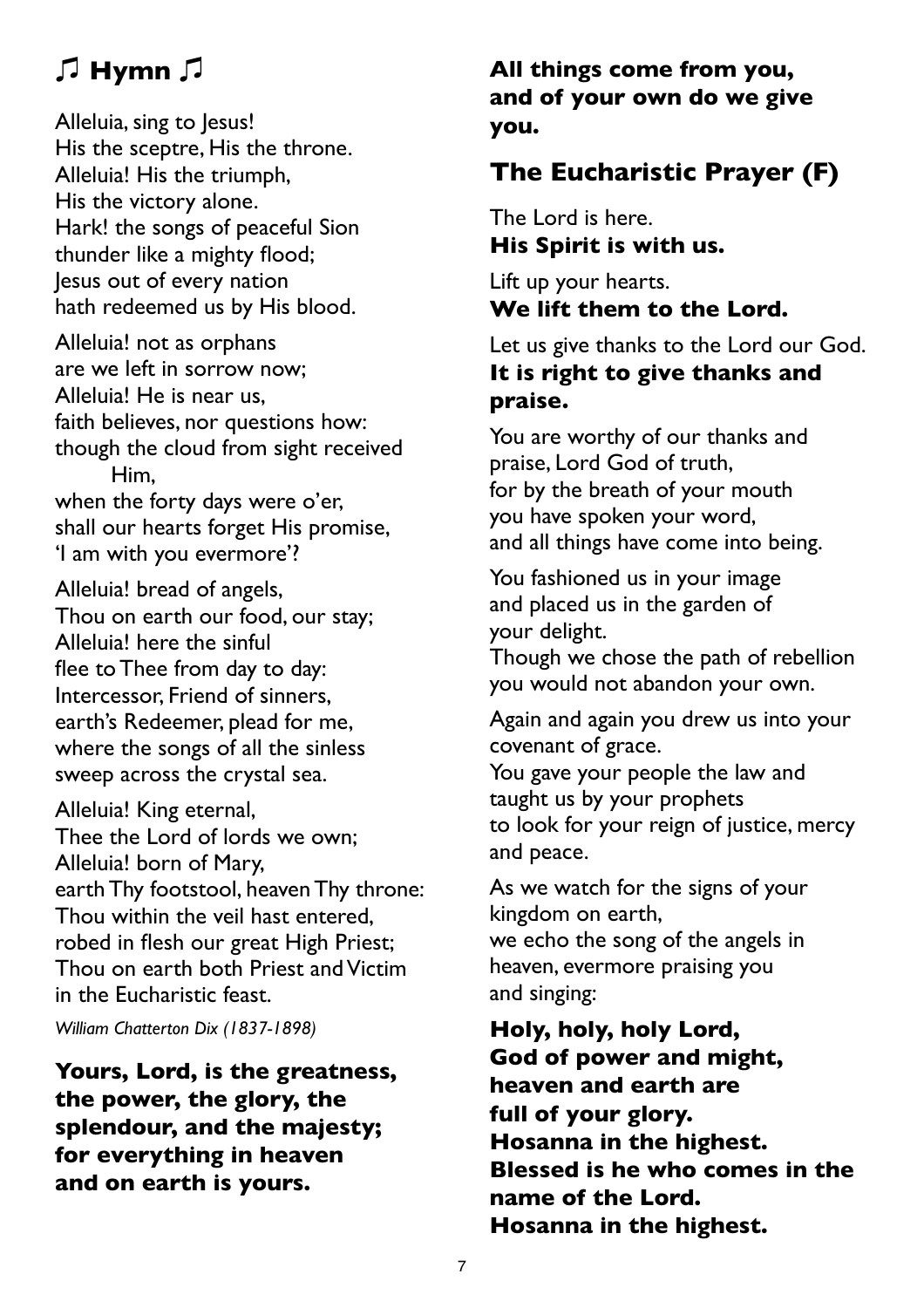## 㽈 **Hymn** 㽈

Alleluia, sing to Jesus! His the sceptre, His the throne. Alleluia! His the triumph, His the victory alone. Hark! the songs of peaceful Sion thunder like a mighty flood; lesus out of every nation hath redeemed us by His blood.

Alleluia! not as orphans are we left in sorrow now; Alleluia! He is near us, faith believes, nor questions how: though the cloud from sight received Him,

when the forty days were o'er, shall our hearts forget His promise, 'I am with you evermore'?

Alleluia! bread of angels, Thou on earth our food, our stay; Alleluia! here the sinful flee to Thee from day to day: Intercessor, Friend of sinners, earth's Redeemer, plead for me, where the songs of all the sinless sweep across the crystal sea.

Alleluia! King eternal, Thee the Lord of lords we own; Alleluia! born of Mary, earth Thy footstool, heaven Thy throne: Thou within the veil hast entered, robed in flesh our great High Priest; Thou on earth both Priest and Victim in the Eucharistic feast.

*William Chatterton Dix (1837-1898)*

**Yours, Lord, is the greatness, the power, the glory, the splendour, and the majesty; for everything in heaven and on earth is yours.**

**All things come from you, and of your own do we give you.**

### **The Eucharistic Prayer (F)**

The Lord is here. **His Spirit is with us.**

Lift up your hearts. **We lift them to the Lord.**

Let us give thanks to the Lord our God. **It is right to give thanks and praise.**

You are worthy of our thanks and praise, Lord God of truth, for by the breath of your mouth you have spoken your word, and all things have come into being.

You fashioned us in your image and placed us in the garden of your delight.

Though we chose the path of rebellion you would not abandon your own.

Again and again you drew us into your covenant of grace.

You gave your people the law and taught us by your prophets to look for your reign of justice, mercy and peace.

As we watch for the signs of your kingdom on earth,

we echo the song of the angels in heaven, evermore praising you and singing:

**Holy, holy, holy Lord, God of power and might, heaven and earth are full of your glory. Hosanna in the highest. Blessed is he who comes in the name of the Lord. Hosanna in the highest.**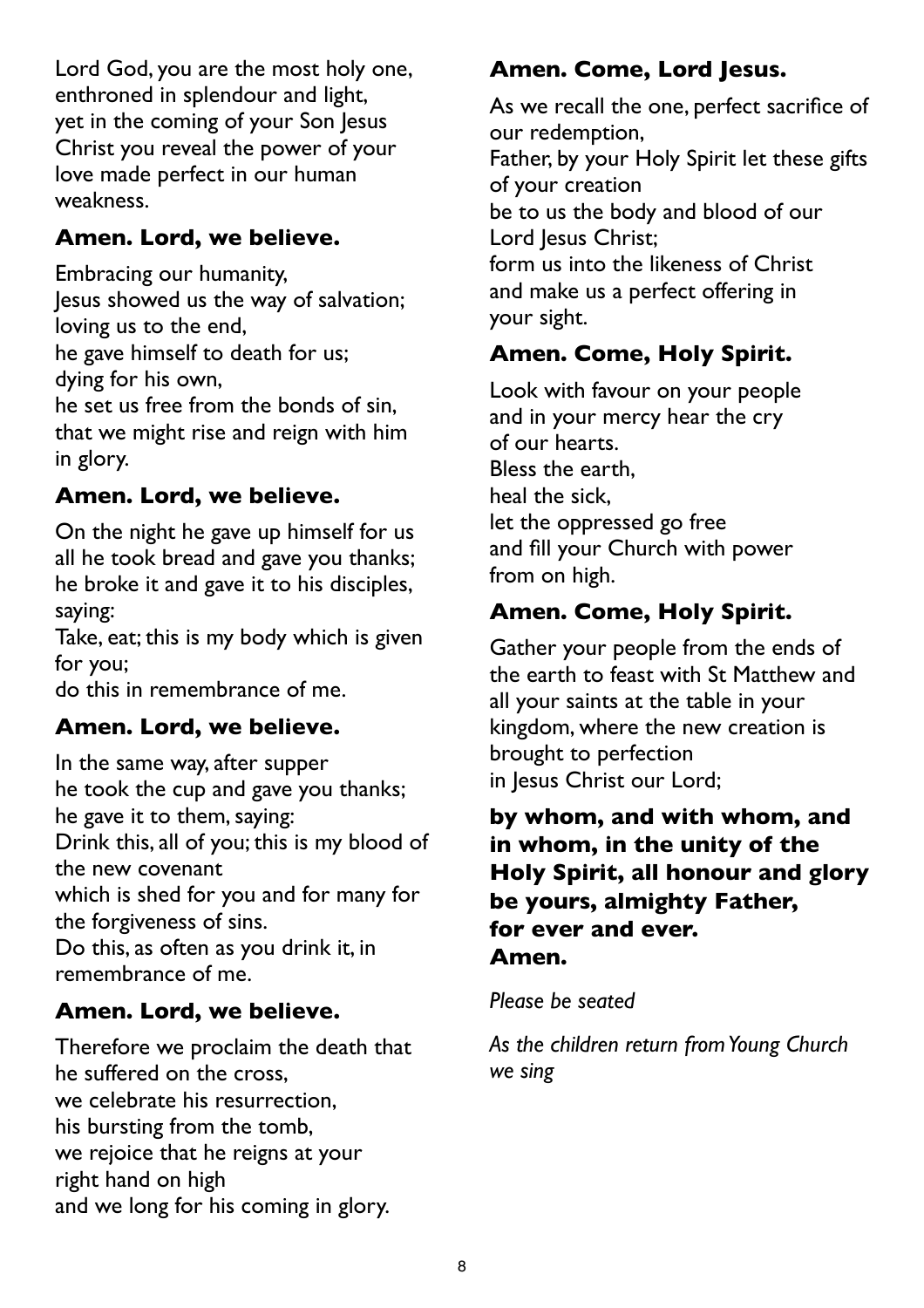Lord God, you are the most holy one, enthroned in splendour and light, yet in the coming of your Son Jesus Christ you reveal the power of your love made perfect in our human weakness.

### **Amen. Lord, we believe.**

Embracing our humanity, Jesus showed us the way of salvation; loving us to the end, he gave himself to death for us; dying for his own, he set us free from the bonds of sin,

that we might rise and reign with him in glory.

### **Amen. Lord, we believe.**

On the night he gave up himself for us all he took bread and gave you thanks; he broke it and gave it to his disciples, saying:

Take, eat; this is my body which is given for you;

do this in remembrance of me.

### **Amen. Lord, we believe.**

In the same way, after supper he took the cup and gave you thanks; he gave it to them, saying: Drink this, all of you; this is my blood of the new covenant which is shed for you and for many for the forgiveness of sins. Do this, as often as you drink it, in remembrance of me.

### **Amen. Lord, we believe.**

Therefore we proclaim the death that he suffered on the cross, we celebrate his resurrection, his bursting from the tomb, we rejoice that he reigns at your right hand on high and we long for his coming in glory.

### **Amen. Come, Lord Jesus.**

As we recall the one, perfect sacrifice of our redemption,

Father, by your Holy Spirit let these gifts of your creation

be to us the body and blood of our Lord Jesus Christ;

form us into the likeness of Christ and make us a perfect offering in your sight.

### **Amen. Come, Holy Spirit.**

Look with favour on your people and in your mercy hear the cry of our hearts. Bless the earth, heal the sick, let the oppressed go free and fill your Church with power from on high.

### **Amen. Come, Holy Spirit.**

Gather your people from the ends of the earth to feast with St Matthew and all your saints at the table in your kingdom, where the new creation is brought to perfection in Jesus Christ our Lord;

#### **by whom, and with whom, and in whom, in the unity of the Holy Spirit, all honour and glory be yours, almighty Father, for ever and ever. Amen.**

*Please be seated*

*As the children return from Young Church we sing*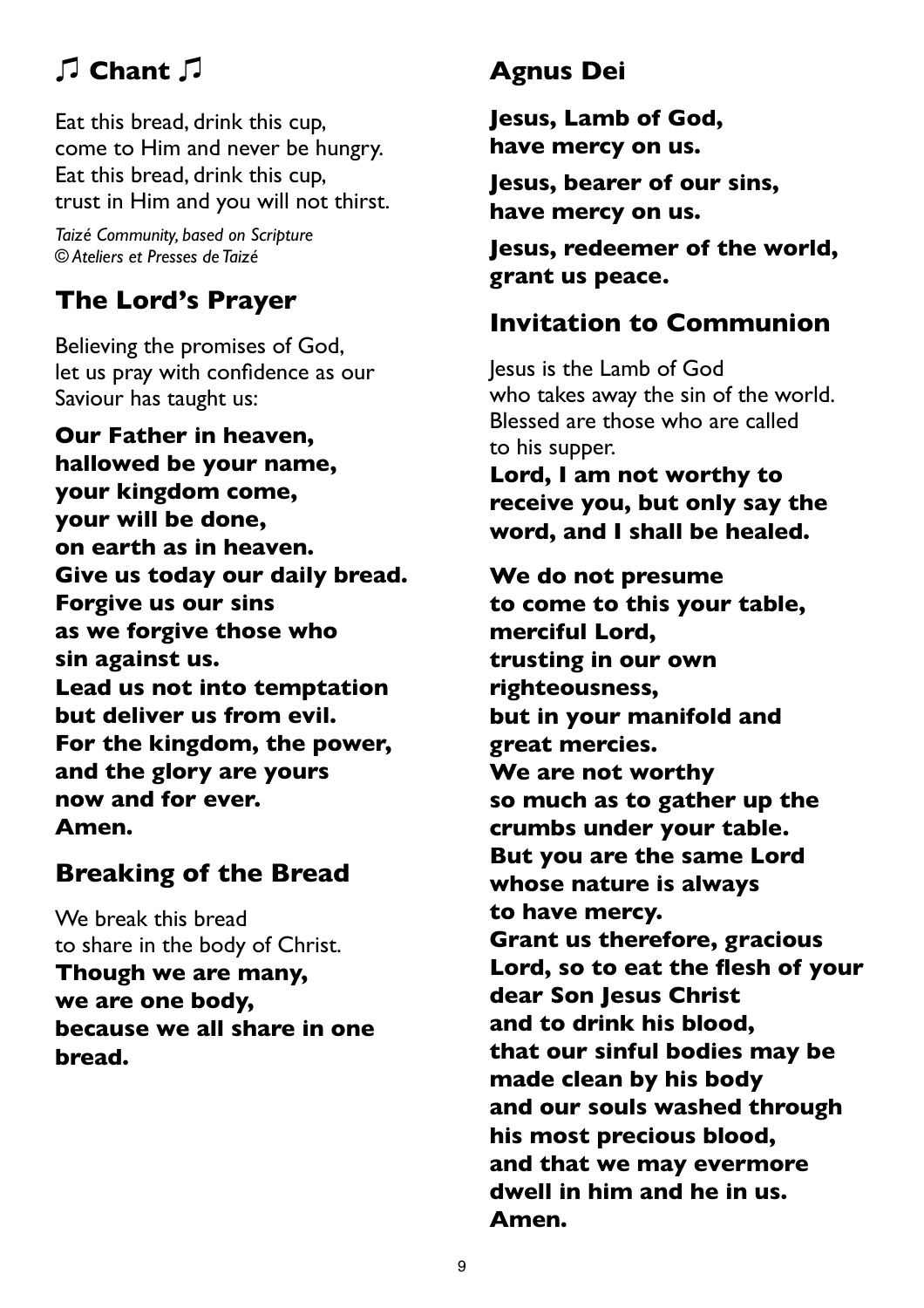## 㽈 **Chant** 㽈

Eat this bread, drink this cup, come to Him and never be hungry. Eat this bread, drink this cup, trust in Him and you will not thirst.

*Taizé Community, based on Scripture © Ateliers et Presses de Taizé*

## **The Lord's Prayer**

Believing the promises of God, let us pray with confidence as our Saviour has taught us:

**Our Father in heaven, hallowed be your name, your kingdom come, your will be done, on earth as in heaven. Give us today our daily bread. Forgive us our sins as we forgive those who sin against us. Lead us not into temptation but deliver us from evil. For the kingdom, the power, and the glory are yours now and for ever. Amen.**

### **Breaking of the Bread**

We break this bread to share in the body of Christ. **Though we are many,** 

**we are one body, because we all share in one bread.**

## **Agnus Dei**

**Jesus, Lamb of God, have mercy on us.**

**Jesus, bearer of our sins, have mercy on us.**

**Jesus, redeemer of the world, grant us peace.**

### **Invitation to Communion**

Jesus is the Lamb of God who takes away the sin of the world. Blessed are those who are called to his supper.

**Lord, I am not worthy to receive you, but only say the word, and I shall be healed.**

**We do not presume to come to this your table, merciful Lord, trusting in our own righteousness, but in your manifold and great mercies. We are not worthy so much as to gather up the crumbs under your table. But you are the same Lord whose nature is always to have mercy. Grant us therefore, gracious Lord, so to eat the flesh of your dear Son Jesus Christ and to drink his blood, that our sinful bodies may be made clean by his body and our souls washed through his most precious blood, and that we may evermore dwell in him and he in us. Amen.**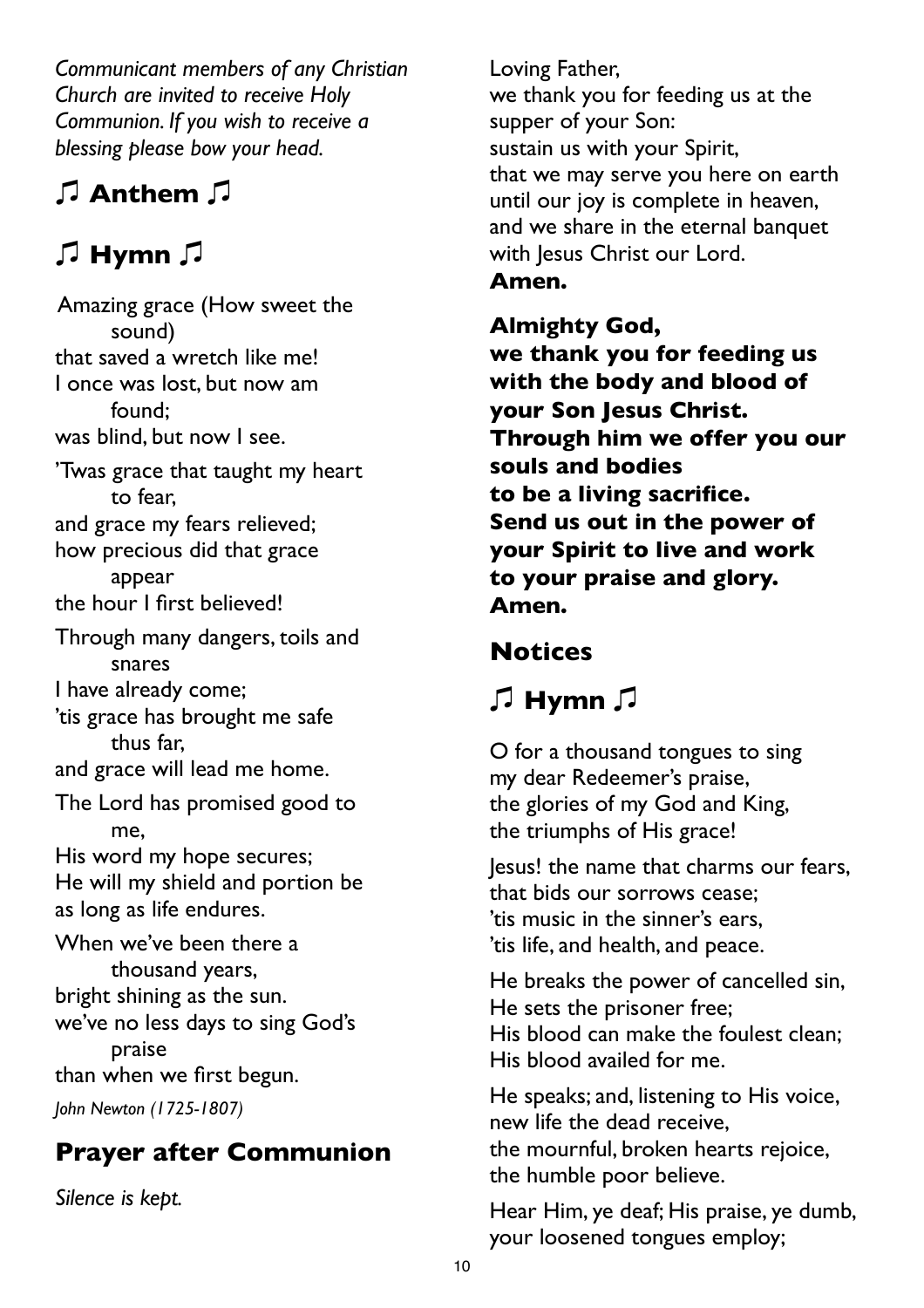*Communicant members of any Christian Church are invited to receive Holy Communion. If you wish to receive a blessing please bow your head.*

## 㽈 **Anthem** 㽈

# 㽈 **Hymn** 㽈

Amazing grace (How sweet the sound) that saved a wretch like me! I once was lost, but now am found; was blind, but now I see. 'Twas grace that taught my heart to fear, and grace my fears relieved; how precious did that grace appear the hour I first believed! Through many dangers, toils and snares I have already come; 'tis grace has brought me safe thus far, and grace will lead me home. The Lord has promised good to me, His word my hope secures; He will my shield and portion be as long as life endures. When we've been there a thousand years, bright shining as the sun. we've no less days to sing God's praise than when we first begun. *John Newton (1725-1807)*

## **Prayer after Communion**

*Silence is kept.*

Loving Father, we thank you for feeding us at the supper of your Son: sustain us with your Spirit, that we may serve you here on earth until our joy is complete in heaven, and we share in the eternal banquet with Jesus Christ our Lord. **Amen.**

#### **Almighty God,**

**we thank you for feeding us with the body and blood of your Son Jesus Christ. Through him we offer you our souls and bodies to be a living sacrifice. Send us out in the power of your Spirit to live and work to your praise and glory. Amen.**

## **Notices**

## 㽈 **Hymn** 㽈

O for a thousand tongues to sing my dear Redeemer's praise, the glories of my God and King, the triumphs of His grace!

Jesus! the name that charms our fears, that bids our sorrows cease; 'tis music in the sinner's ears, 'tis life, and health, and peace.

He breaks the power of cancelled sin, He sets the prisoner free; His blood can make the foulest clean; His blood availed for me.

He speaks; and, listening to His voice, new life the dead receive, the mournful, broken hearts rejoice, the humble poor believe.

Hear Him, ye deaf; His praise, ye dumb, your loosened tongues employ;